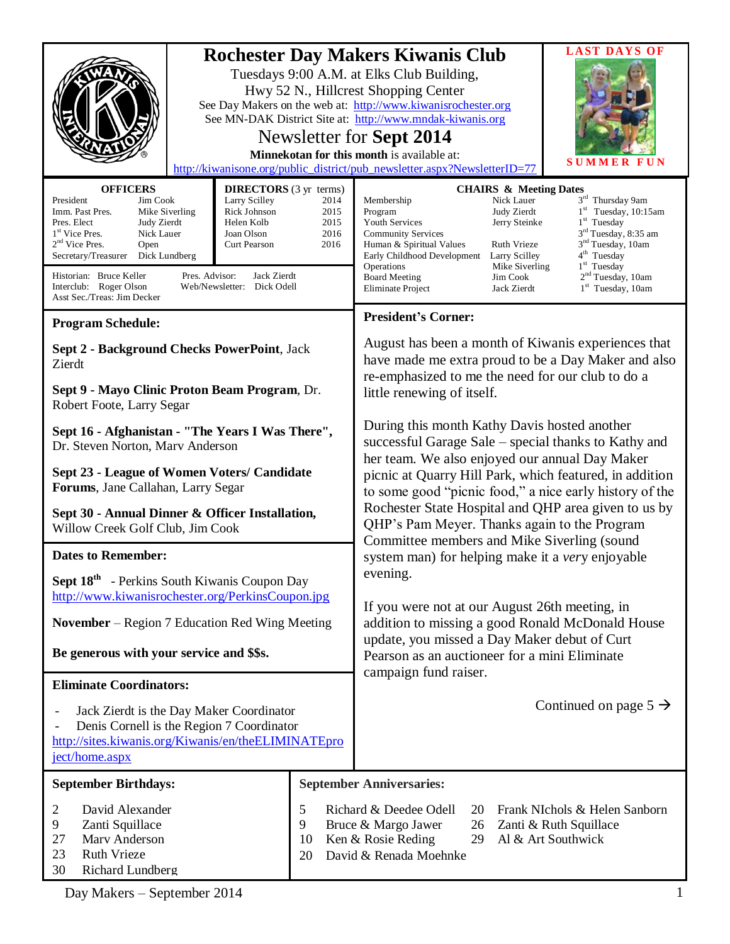|                                                                                                                                                                                                                                                                                                                                                                 | Hwy 52 N., Hillcrest Shopping Center<br>Newsletter for Sept 2014<br>Minnekotan for this month is available at:                                                           | <b>LAST DAYS OF</b><br><b>Rochester Day Makers Kiwanis Club</b><br>Tuesdays 9:00 A.M. at Elks Club Building,<br>See Day Makers on the web at: http://www.kiwanisrochester.org<br>See MN-DAK District Site at: http://www.mndak-kiwanis.org<br>SUMMER<br>FUN<br>http://kiwanisone.org/public_district/pub_newsletter.aspx?NewsletterID=77                                                                                                                                                                                                                                                                            |  |
|-----------------------------------------------------------------------------------------------------------------------------------------------------------------------------------------------------------------------------------------------------------------------------------------------------------------------------------------------------------------|--------------------------------------------------------------------------------------------------------------------------------------------------------------------------|---------------------------------------------------------------------------------------------------------------------------------------------------------------------------------------------------------------------------------------------------------------------------------------------------------------------------------------------------------------------------------------------------------------------------------------------------------------------------------------------------------------------------------------------------------------------------------------------------------------------|--|
| <b>OFFICERS</b><br>President<br>Jim Cook<br>Imm. Past Pres.<br>Mike Siverling<br>Pres. Elect<br>Judy Zierdt<br>Nick Lauer<br>1 <sup>st</sup> Vice Pres.<br>$2nd$ Vice Pres.<br>Open<br>Secretary/Treasurer<br>Dick Lundberg<br>Pres. Advisor:<br>Historian: Bruce Keller<br>Interclub: Roger Olson<br>Web/Newsletter: Dick Odell<br>Asst Sec./Treas: Jim Decker | <b>DIRECTORS</b> (3 yr terms)<br>Larry Scilley<br>2014<br>Rick Johnson<br>2015<br>Helen Kolb<br>2015<br>Joan Olson<br>2016<br>2016<br><b>Curt Pearson</b><br>Jack Zierdt | <b>CHAIRS &amp; Meeting Dates</b><br>3rd Thursday 9am<br>Nick Lauer<br>Membership<br>$1st$ Tuesday, 10:15am<br>Judy Zierdt<br>Program<br>1 <sup>st</sup> Tuesday<br>Youth Services<br>Jerry Steinke<br>$3rd$ Tuesday, 8:35 am<br><b>Community Services</b><br>3 <sup>nd</sup> Tuesday, 10am<br><b>Ruth Vrieze</b><br>Human & Spiritual Values<br>4 <sup>th</sup> Tuesday<br>Early Childhood Development<br>Larry Scilley<br>$1st$ Tuesday<br>Operations<br>Mike Siverling<br>2 <sup>nd</sup> Tuesday, 10am<br><b>Board Meeting</b><br>Jim Cook<br>1 <sup>st</sup> Tuesday, 10am<br>Eliminate Project<br>Jack Zierdt |  |
|                                                                                                                                                                                                                                                                                                                                                                 |                                                                                                                                                                          | <b>President's Corner:</b>                                                                                                                                                                                                                                                                                                                                                                                                                                                                                                                                                                                          |  |
| <b>Program Schedule:</b><br>Sept 2 - Background Checks PowerPoint, Jack<br>Zierdt<br>Sept 9 - Mayo Clinic Proton Beam Program, Dr.<br>Robert Foote, Larry Segar                                                                                                                                                                                                 |                                                                                                                                                                          | August has been a month of Kiwanis experiences that<br>have made me extra proud to be a Day Maker and also<br>re-emphasized to me the need for our club to do a<br>little renewing of itself.                                                                                                                                                                                                                                                                                                                                                                                                                       |  |
| Sept 16 - Afghanistan - "The Years I Was There",<br>Dr. Steven Norton, Marv Anderson<br>Sept 23 - League of Women Voters/ Candidate<br>Forums, Jane Callahan, Larry Segar<br>Sept 30 - Annual Dinner & Officer Installation,<br>Willow Creek Golf Club, Jim Cook<br><b>Dates to Remember:</b>                                                                   |                                                                                                                                                                          | During this month Kathy Davis hosted another<br>successful Garage Sale - special thanks to Kathy and<br>her team. We also enjoyed our annual Day Maker<br>picnic at Quarry Hill Park, which featured, in addition<br>to some good "picnic food," a nice early history of the<br>Rochester State Hospital and QHP area given to us by<br>QHP's Pam Meyer. Thanks again to the Program<br>Committee members and Mike Siverling (sound<br>system man) for helping make it a very enjoyable                                                                                                                             |  |
| <b>Sept 18th</b> - Perkins South Kiwanis Coupon Day                                                                                                                                                                                                                                                                                                             |                                                                                                                                                                          | evening.                                                                                                                                                                                                                                                                                                                                                                                                                                                                                                                                                                                                            |  |
| http://www.kiwanisrochester.org/PerkinsCoupon.jpg                                                                                                                                                                                                                                                                                                               |                                                                                                                                                                          |                                                                                                                                                                                                                                                                                                                                                                                                                                                                                                                                                                                                                     |  |
| <b>November</b> – Region 7 Education Red Wing Meeting<br>Be generous with your service and \$\$s.                                                                                                                                                                                                                                                               |                                                                                                                                                                          | If you were not at our August 26th meeting, in<br>addition to missing a good Ronald McDonald House<br>update, you missed a Day Maker debut of Curt<br>Pearson as an auctioneer for a mini Eliminate<br>campaign fund raiser.                                                                                                                                                                                                                                                                                                                                                                                        |  |
| <b>Eliminate Coordinators:</b>                                                                                                                                                                                                                                                                                                                                  |                                                                                                                                                                          |                                                                                                                                                                                                                                                                                                                                                                                                                                                                                                                                                                                                                     |  |
| Jack Zierdt is the Day Maker Coordinator<br>$\overline{a}$<br>Denis Cornell is the Region 7 Coordinator<br>http://sites.kiwanis.org/Kiwanis/en/theELIMINATEpro<br>ject/home.aspx                                                                                                                                                                                |                                                                                                                                                                          | Continued on page $5 \rightarrow$                                                                                                                                                                                                                                                                                                                                                                                                                                                                                                                                                                                   |  |
| <b>September Birthdays:</b>                                                                                                                                                                                                                                                                                                                                     |                                                                                                                                                                          | <b>September Anniversaries:</b>                                                                                                                                                                                                                                                                                                                                                                                                                                                                                                                                                                                     |  |
| David Alexander<br>2<br>9<br>Zanti Squillace<br>Marv Anderson<br>27<br><b>Ruth Vrieze</b><br>23<br>30<br>Richard Lundberg                                                                                                                                                                                                                                       | 5<br>9<br>10<br>20                                                                                                                                                       | Richard & Deedee Odell<br>Frank NIchols & Helen Sanborn<br>20<br>Bruce & Margo Jawer<br>Zanti & Ruth Squillace<br>26<br>Ken & Rosie Reding<br>Al & Art Southwick<br>29<br>David & Renada Moehnke                                                                                                                                                                                                                                                                                                                                                                                                                    |  |

Day Makers – September 2014 1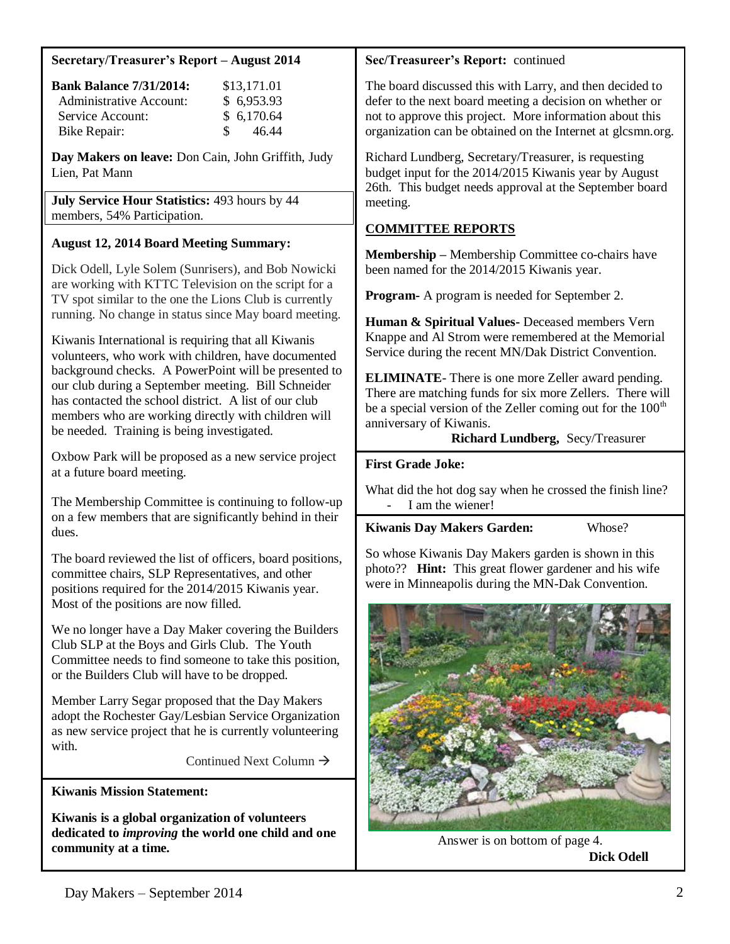## **Secretary/Treasurer's Report – August 2014**

| <b>Bank Balance 7/31/2014:</b> | \$13,171.01            |
|--------------------------------|------------------------|
| Administrative Account:        | \$6,953.93             |
| Service Account:               | \$6,170.64             |
| Bike Repair:                   | 46.44<br>$\mathcal{S}$ |

**Day Makers on leave:** Don Cain, John Griffith, Judy Lien, Pat Mann

**July Service Hour Statistics:** 493 hours by 44 members, 54% Participation.

# **August 12, 2014 Board Meeting Summary:**

Dick Odell, Lyle Solem (Sunrisers), and Bob Nowicki are working with KTTC Television on the script for a TV spot similar to the one the Lions Club is currently running. No change in status since May board meeting.

Kiwanis International is requiring that all Kiwanis volunteers, who work with children, have documented background checks. A PowerPoint will be presented to our club during a September meeting. Bill Schneider has contacted the school district. A list of our club members who are working directly with children will be needed. Training is being investigated.

Oxbow Park will be proposed as a new service project at a future board meeting.

The Membership Committee is continuing to follow-up on a few members that are significantly behind in their dues.

The board reviewed the list of officers, board positions, committee chairs, SLP Representatives, and other positions required for the 2014/2015 Kiwanis year. Most of the positions are now filled.

We no longer have a Day Maker covering the Builders Club SLP at the Boys and Girls Club. The Youth Committee needs to find someone to take this position, or the Builders Club will have to be dropped.

Member Larry Segar proposed that the Day Makers adopt the Rochester Gay/Lesbian Service Organization as new service project that he is currently volunteering with.

Continued Next Column  $\rightarrow$ 

**Kiwanis Mission Statement:**

**Kiwanis is a global organization of volunteers dedicated to** *improving* **the world one child and one community at a time.**

## **Sec/Treasureer's Report:** continued

The board discussed this with Larry, and then decided to defer to the next board meeting a decision on whether or not to approve this project. More information about this organization can be obtained on the Internet at glcsmn.org.

Richard Lundberg, Secretary/Treasurer, is requesting budget input for the 2014/2015 Kiwanis year by August 26th. This budget needs approval at the September board meeting.

# **COMMITTEE REPORTS**

**Membership –** Membership Committee co-chairs have been named for the 2014/2015 Kiwanis year.

**Program-** A program is needed for September 2.

**Human & Spiritual Values-** Deceased members Vern Knappe and Al Strom were remembered at the Memorial Service during the recent MN/Dak District Convention.

**ELIMINATE**- There is one more Zeller award pending. There are matching funds for six more Zellers. There will be a special version of the Zeller coming out for the  $100<sup>th</sup>$ anniversary of Kiwanis.

## **Richard Lundberg,** Secy/Treasurer

## **First Grade Joke:**

What did the hot dog say when he crossed the finish line? I am the wiener!

# **Kiwanis Day Makers Garden:** Whose?

So whose Kiwanis Day Makers garden is shown in this photo?? **Hint:** This great flower gardener and his wife were in Minneapolis during the MN-Dak Convention.



Answer is on bottom of page 4.  **Dick Odell**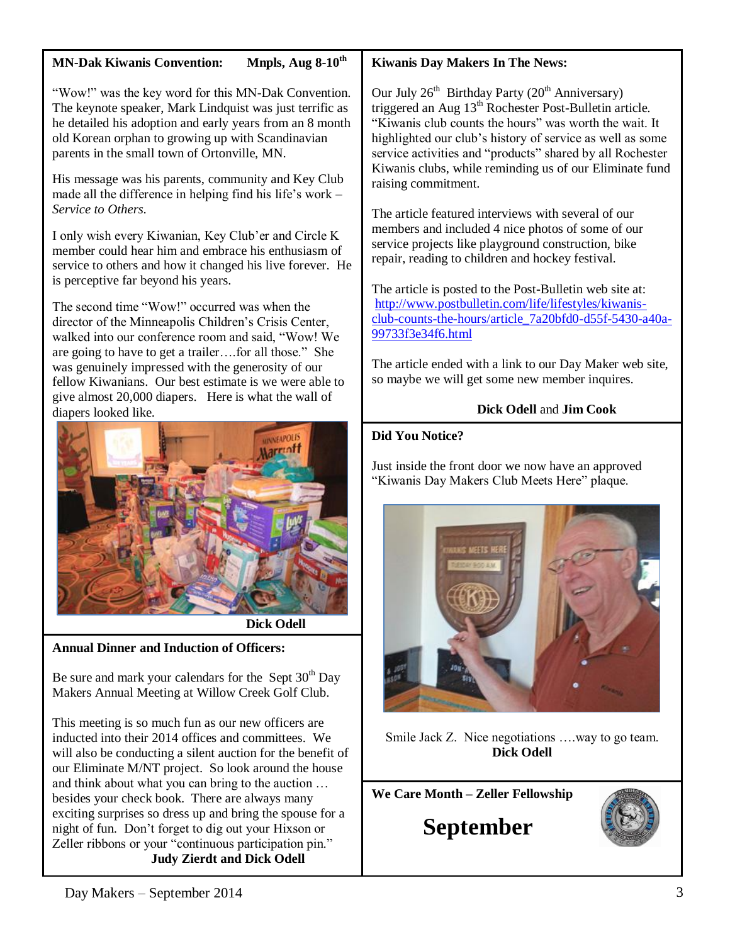# **MN-Dak Kiwanis Convention: Mnpls, Aug 8-10th**

"Wow!" was the key word for this MN-Dak Convention. The keynote speaker, Mark Lindquist was just terrific as he detailed his adoption and early years from an 8 month old Korean orphan to growing up with Scandinavian parents in the small town of Ortonville, MN.

His message was his parents, community and Key Club made all the difference in helping find his life's work – *Service to Others.*

I only wish every Kiwanian, Key Club'er and Circle K member could hear him and embrace his enthusiasm of service to others and how it changed his live forever. He is perceptive far beyond his years.

The second time "Wow!" occurred was when the director of the Minneapolis Children's Crisis Center, walked into our conference room and said, "Wow! We are going to have to get a trailer….for all those." She was genuinely impressed with the generosity of our fellow Kiwanians. Our best estimate is we were able to give almost 20,000 diapers. Here is what the wall of diapers looked like.



 **Dick Odell**

# **Annual Dinner and Induction of Officers:**

Be sure and mark your calendars for the Sept  $30<sup>th</sup>$  Day Makers Annual Meeting at Willow Creek Golf Club.

This meeting is so much fun as our new officers are inducted into their 2014 offices and committees. We will also be conducting a silent auction for the benefit of our Eliminate M/NT project. So look around the house and think about what you can bring to the auction … besides your check book. There are always many exciting surprises so dress up and bring the spouse for a night of fun. Don't forget to dig out your Hixson or Zeller ribbons or your "continuous participation pin." **Judy Zierdt and Dick Odell**

## **Kiwanis Day Makers In The News:**

Our July  $26<sup>th</sup>$  Birthday Party ( $20<sup>th</sup>$  Anniversary) triggered an Aug  $13<sup>th</sup>$  Rochester Post-Bulletin article. "Kiwanis club counts the hours" was worth the wait. It highlighted our club's history of service as well as some service activities and "products" shared by all Rochester Kiwanis clubs, while reminding us of our Eliminate fund raising commitment.

The article featured interviews with several of our members and included 4 nice photos of some of our service projects like playground construction, bike repair, reading to children and hockey festival.

The article is posted to the Post-Bulletin web site at: [http://www.postbulletin.com/life/lifestyles/kiwanis](http://www.postbulletin.com/life/lifestyles/kiwanis-club-counts-the-hours/article_7a20bfd0-d55f-5430-a40a-99733f3e34f6.html)[club-counts-the-hours/article\\_7a20bfd0-d55f-5430-a40a-](http://www.postbulletin.com/life/lifestyles/kiwanis-club-counts-the-hours/article_7a20bfd0-d55f-5430-a40a-99733f3e34f6.html)[99733f3e34f6.html](http://www.postbulletin.com/life/lifestyles/kiwanis-club-counts-the-hours/article_7a20bfd0-d55f-5430-a40a-99733f3e34f6.html)

The article ended with a link to our Day Maker web site, so maybe we will get some new member inquires.

# **Dick Odell** and **Jim Cook**

## **Did You Notice?**

Just inside the front door we now have an approved "Kiwanis Day Makers Club Meets Here" plaque.



Smile Jack Z. Nice negotiations ….way to go team. **Dick Odell**

**We Care Month – Zeller Fellowship**

**September**

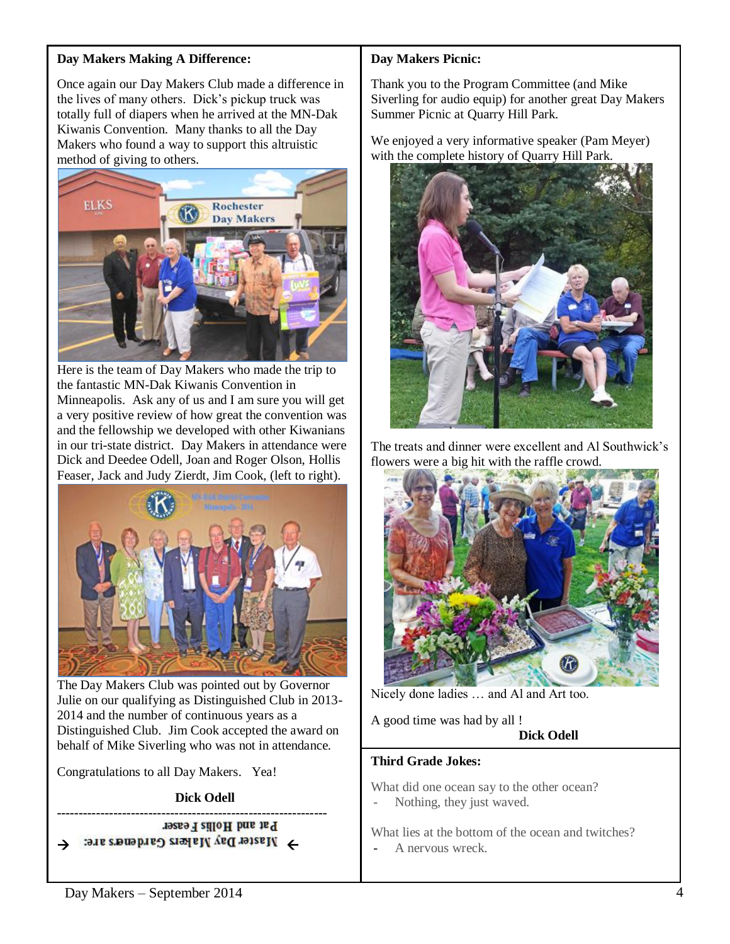## **Day Makers Making A Difference:**

Once again our Day Makers Club made a difference in the lives of many others. Dick's pickup truck was totally full of diapers when he arrived at the MN-Dak Kiwanis Convention. Many thanks to all the Day Makers who found a way to support this altruistic method of giving to others.



Here is the team of Day Makers who made the trip to the fantastic MN-Dak Kiwanis Convention in Minneapolis. Ask any of us and I am sure you will get a very positive review of how great the convention was and the fellowship we developed with other Kiwanians in our tri-state district. Day Makers in attendance were Dick and Deedee Odell, Joan and Roger Olson, Hollis Feaser, Jack and Judy Zierdt, Jim Cook, (left to right).



The Day Makers Club was pointed out by Governor Julie on our qualifying as Distinguished Club in 2013- 2014 and the number of continuous years as a Distinguished Club. Jim Cook accepted the award on behalf of Mike Siverling who was not in attendance.

Congratulations to all Day Makers. Yea!

 **Dick Odell**

**--------------------------------------------------------------**  $\rightarrow$  *Master Day Makers Gardeners are:* 

## **Day Makers Picnic:**

Thank you to the Program Committee (and Mike Siverling for audio equip) for another great Day Makers Summer Picnic at Quarry Hill Park.

We enjoyed a very informative speaker (Pam Meyer) with the complete history of Quarry Hill Park.



The treats and dinner were excellent and Al Southwick's flowers were a big hit with the raffle crowd.



Nicely done ladies … and Al and Art too.

A good time was had by all !

**Dick Odell**

#### **Third Grade Jokes:**

What did one ocean say to the other ocean? - Nothing, they just waved.

What lies at the bottom of the ocean and twitches?

A nervous wreck.